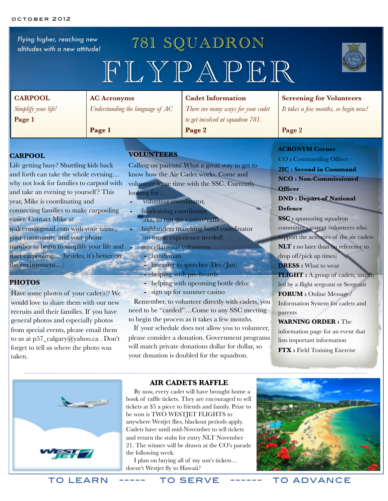*Flying higher, reaching new altitudes with a new attitude!*

# 781 SQUADRON FLYPAPER



| <b>CARPOOL</b>                                           | <b>AC Acronyms</b>                 | <b>Cadet Information</b>                                                                                                                                                                                                                                                                                                                                                             | <b>Screening for Volunteers</b>      |
|----------------------------------------------------------|------------------------------------|--------------------------------------------------------------------------------------------------------------------------------------------------------------------------------------------------------------------------------------------------------------------------------------------------------------------------------------------------------------------------------------|--------------------------------------|
| Simplify your life!                                      | Understanding the language of $AC$ | There are many ways for your cadet                                                                                                                                                                                                                                                                                                                                                   | It takes a few months, so begin now! |
| Page 1                                                   |                                    | to get involved at squadron 781.                                                                                                                                                                                                                                                                                                                                                     |                                      |
|                                                          | Page 1                             | Page 2                                                                                                                                                                                                                                                                                                                                                                               | Page 2                               |
| <b>VOLUNTEERS</b><br><b>CARPOOL</b>                      |                                    | <b>ACRONYM Corner</b><br>CO: Commanding Officer                                                                                                                                                                                                                                                                                                                                      |                                      |
| Life getting busy? Shuttling kids back<br>$\blacksquare$ |                                    | Calling on parents! What a great way to get to<br>$\mathbf{1}$ $\mathbf{1}$ $\mathbf{1}$ $\mathbf{1}$ $\mathbf{2}$ $\mathbf{3}$ $\mathbf{3}$ $\mathbf{4}$ $\mathbf{5}$ $\mathbf{5}$ $\mathbf{6}$ $\mathbf{7}$ $\mathbf{8}$ $\mathbf{8}$ $\mathbf{1}$ $\mathbf{8}$ $\mathbf{1}$ $\mathbf{8}$ $\mathbf{1}$ $\mathbf{8}$ $\mathbf{1}$ $\mathbf{8}$ $\mathbf{1}$ $\mathbf{8}$ $\mathbf{$ | 2IC: Second in Command               |

and forth can take the whole evening… why not look for families to carpool with and take an evening to yourself ? This year, Mike is coordinating and connecting families to make carpooling easier. Contact Mike at [walcerm@gmail.com](mailto:walcerm@gmail.com) with your name, your community, and your phone number to begin to simplify your life and start carpooling… (besides, it's better on the environment…)

#### **PHOTOS**

Have some photos of your cadet(s)? We would love to share them with our new recruits and their families. If you have general photos and especially photos from special events, please email them to us at [p57\\_calgary@yahoo.ca](mailto:p57_calgary@yahoo.ca) . Don't forget to tell us where the photo was taken.

know how the Air Cadet works. Come and volunteer some time with the SSC. Currently looking for …

- **-** volunteer coordinator,
- **-** fundraising coordinator
- (aka, to run the casino/raffle),
- **-** highlanders marching band coordinator (no music experience needed)
- **-** miscellaneous volunteers
	- **-** handyman
	- **-** listening to speeches (Dec/Jan)
	- **-** helping with pre-boards
	- **-** helping with upcoming bottle drive
- **-** sign up for summer casino

 Remember, to volunteer directly with cadets, you need to be "carded"…Come to any SSC meeting to begin the process as it takes a few months.

 If your schedule does not allow you to volunteer, please consider a donation. Government programs will match private donations dollar for dollar, so your donation is doubled for the squadron.

**NCO : Non-Commissioned** 

#### **Officer**

**DND : Depart of National** 

**Defence**

**SSC :** sponsoring squadron committee - parent volunteers who support the activities of the air cadets **NLT :** no later than (in reference to drop off/pick up times) **DRESS :** What to wear **FLIGHT** : A group of cadets, usually led by a flight sergeant or Sergeant **FORUM :** Online Message/ Information System for cadets and parents **WARNING ORDER :** The

information page for an event that lists important information

**FTX :** Field Training Exercise



#### **AIR CADETS RAFFLE**

 By now, every cadet will have brought home a book of raffle tickets. They are encouraged to sell tickets at \$5 a piece to friends and family. Prize to be won is TWO WESTJET FLIGHTS to anywhere Westjet flies, blackout periods apply. Cadets have until mid-November to sell tickets and return the stubs for entry NLT November 21. The winner will be drawn at the CO's parade the following week.

 I plan on buying all of my son's tickets… doesn't Westjet fly to Hawaii?



to learn ----- to serve ------ to advance